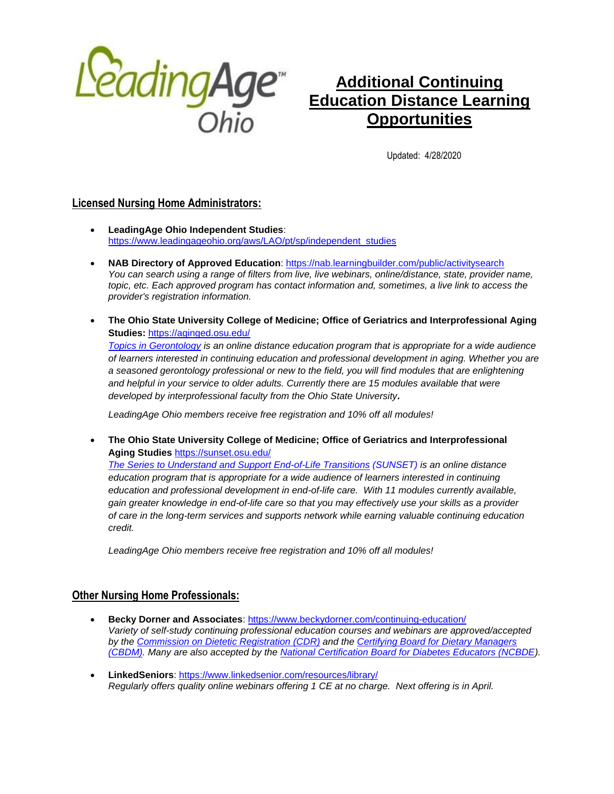

# **Additional Continuing Education Distance Learning Opportunities**

Updated: 4/28/2020

# **Licensed Nursing Home Administrators:**

- **LeadingAge Ohio Independent Studies**: [https://www.leadingageohio.org/aws/LAO/pt/sp/independent\\_studies](https://www.leadingageohio.org/aws/LAO/pt/sp/independent_studies)
- **NAB Directory of Approved Education**:<https://nab.learningbuilder.com/public/activitysearch> *You can search using a range of filters from live, live webinars, online/distance, state, provider name, topic, etc. Each approved program has contact information and, sometimes, a live link to access the provider's registration information.*
- **The Ohio State University College of Medicine; Office of Geriatrics and Interprofessional Aging Studies:** <https://aginged.osu.edu/> *[Topics in Gerontology](https://aginged.osu.edu/) is an online distance education program that is appropriate for a wide audience of learners interested in continuing education and professional development in aging. Whether you are a seasoned gerontology professional or new to the field, you will find modules that are enlightening*  and helpful in your service to older adults. Currently there are 15 modules available that were *developed by interprofessional faculty from the Ohio State University.*

*LeadingAge Ohio members receive free registration and 10% off all modules!*

• **The Ohio State University College of Medicine; Office of Geriatrics and Interprofessional Aging Studies** <https://sunset.osu.edu/> *[The Series to Understand and Support End-of-Life Transitions](https://sunset.osu.edu/) (SUNSET) is an online distance education program that is appropriate for a wide audience of learners interested in continuing education and professional development in end-of-life care. With 11 modules currently available, gain greater knowledge in end-of-life care so that you may effectively use your skills as a provider of care in the long-term services and supports network while earning valuable continuing education credit.*

*LeadingAge Ohio members receive free registration and 10% off all modules!*

# **Other Nursing Home Professionals:**

- **Becky Dorner and Associates**:<https://www.beckydorner.com/continuing-education/> *Variety of self-study continuing professional education courses and webinars are approved/accepted by the [Commission on Dietetic Registration](https://www.cdrnet.org/) (CDR) and the [Certifying Board for Dietary Managers](http://www.cbdmonline.org/)  [\(CBDM\).](http://www.cbdmonline.org/) Many are also accepted by the [National Certification Board for Diabetes Educators \(NCBDE\)](https://www.ncbde.org/).*
- **LinkedSeniors**[: https://www.linkedsenior.com/resources/library/](https://www.linkedsenior.com/resources/library/) *Regularly offers quality online webinars offering 1 CE at no charge. Next offering is in April.*